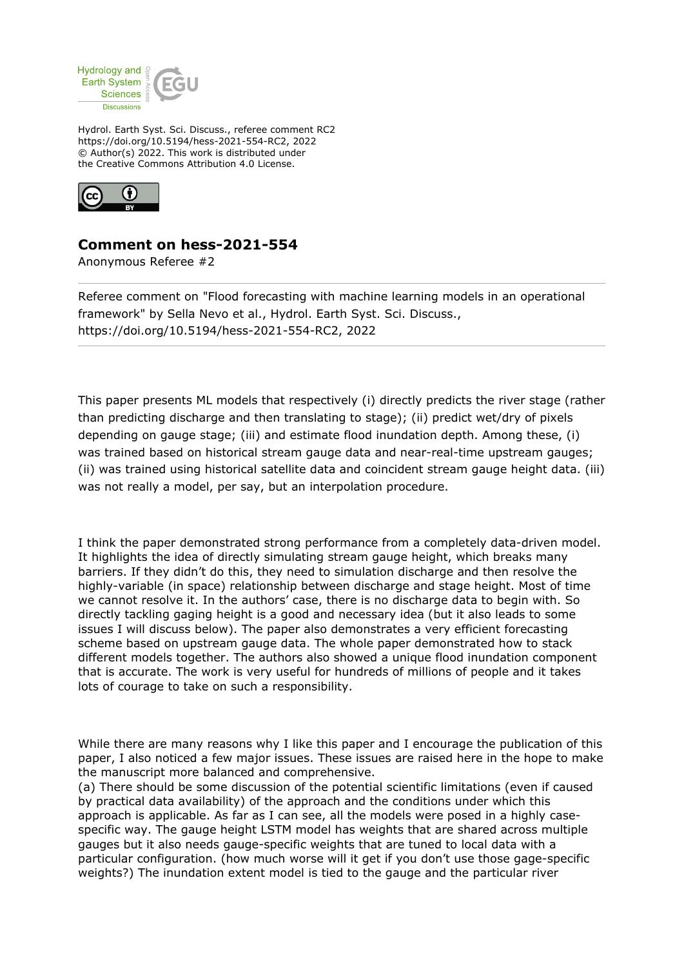

Hydrol. Earth Syst. Sci. Discuss., referee comment RC2 https://doi.org/10.5194/hess-2021-554-RC2, 2022 © Author(s) 2022. This work is distributed under the Creative Commons Attribution 4.0 License.



## **Comment on hess-2021-554**

Anonymous Referee #2

Referee comment on "Flood forecasting with machine learning models in an operational framework" by Sella Nevo et al., Hydrol. Earth Syst. Sci. Discuss., https://doi.org/10.5194/hess-2021-554-RC2, 2022

This paper presents ML models that respectively (i) directly predicts the river stage (rather than predicting discharge and then translating to stage); (ii) predict wet/dry of pixels depending on gauge stage; (iii) and estimate flood inundation depth. Among these, (i) was trained based on historical stream gauge data and near-real-time upstream gauges; (ii) was trained using historical satellite data and coincident stream gauge height data. (iii) was not really a model, per say, but an interpolation procedure.

I think the paper demonstrated strong performance from a completely data-driven model. It highlights the idea of directly simulating stream gauge height, which breaks many barriers. If they didn't do this, they need to simulation discharge and then resolve the highly-variable (in space) relationship between discharge and stage height. Most of time we cannot resolve it. In the authors' case, there is no discharge data to begin with. So directly tackling gaging height is a good and necessary idea (but it also leads to some issues I will discuss below). The paper also demonstrates a very efficient forecasting scheme based on upstream gauge data. The whole paper demonstrated how to stack different models together. The authors also showed a unique flood inundation component that is accurate. The work is very useful for hundreds of millions of people and it takes lots of courage to take on such a responsibility.

While there are many reasons why I like this paper and I encourage the publication of this paper, I also noticed a few major issues. These issues are raised here in the hope to make the manuscript more balanced and comprehensive.

(a) There should be some discussion of the potential scientific limitations (even if caused by practical data availability) of the approach and the conditions under which this approach is applicable. As far as I can see, all the models were posed in a highly casespecific way. The gauge height LSTM model has weights that are shared across multiple gauges but it also needs gauge-specific weights that are tuned to local data with a particular configuration. (how much worse will it get if you don't use those gage-specific weights?) The inundation extent model is tied to the gauge and the particular river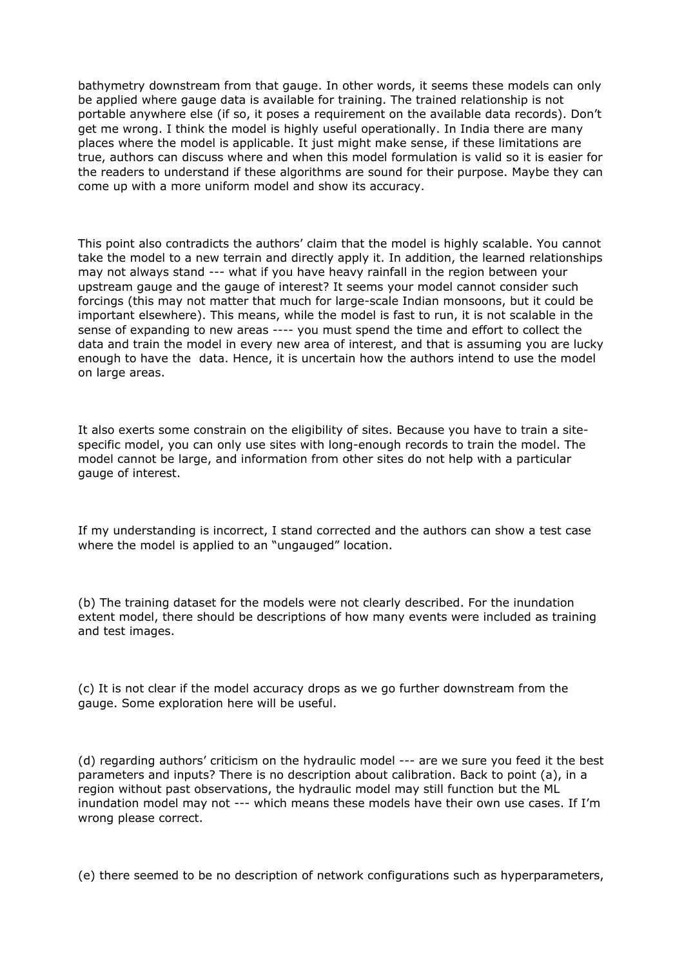bathymetry downstream from that gauge. In other words, it seems these models can only be applied where gauge data is available for training. The trained relationship is not portable anywhere else (if so, it poses a requirement on the available data records). Don't get me wrong. I think the model is highly useful operationally. In India there are many places where the model is applicable. It just might make sense, if these limitations are true, authors can discuss where and when this model formulation is valid so it is easier for the readers to understand if these algorithms are sound for their purpose. Maybe they can come up with a more uniform model and show its accuracy.

This point also contradicts the authors' claim that the model is highly scalable. You cannot take the model to a new terrain and directly apply it. In addition, the learned relationships may not always stand --- what if you have heavy rainfall in the region between your upstream gauge and the gauge of interest? It seems your model cannot consider such forcings (this may not matter that much for large-scale Indian monsoons, but it could be important elsewhere). This means, while the model is fast to run, it is not scalable in the sense of expanding to new areas ---- you must spend the time and effort to collect the data and train the model in every new area of interest, and that is assuming you are lucky enough to have the data. Hence, it is uncertain how the authors intend to use the model on large areas.

It also exerts some constrain on the eligibility of sites. Because you have to train a sitespecific model, you can only use sites with long-enough records to train the model. The model cannot be large, and information from other sites do not help with a particular gauge of interest.

If my understanding is incorrect, I stand corrected and the authors can show a test case where the model is applied to an "ungauged" location.

(b) The training dataset for the models were not clearly described. For the inundation extent model, there should be descriptions of how many events were included as training and test images.

(c) It is not clear if the model accuracy drops as we go further downstream from the gauge. Some exploration here will be useful.

(d) regarding authors' criticism on the hydraulic model --- are we sure you feed it the best parameters and inputs? There is no description about calibration. Back to point (a), in a region without past observations, the hydraulic model may still function but the ML inundation model may not --- which means these models have their own use cases. If I'm wrong please correct.

(e) there seemed to be no description of network configurations such as hyperparameters,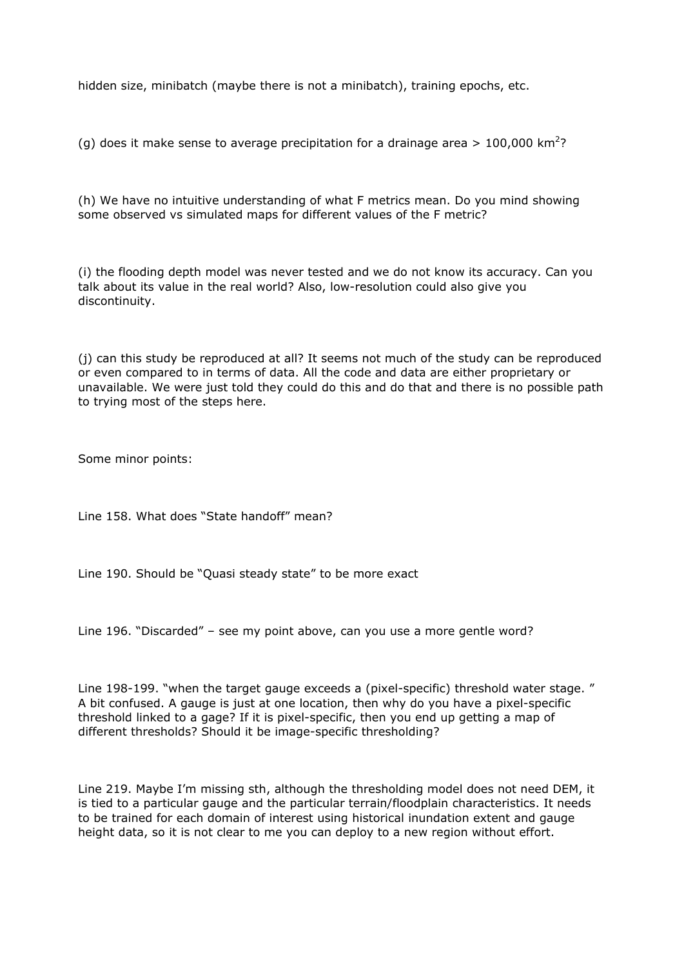hidden size, minibatch (maybe there is not a minibatch), training epochs, etc.

(g) does it make sense to average precipitation for a drainage area > 100,000 km<sup>2</sup>?

(h) We have no intuitive understanding of what F metrics mean. Do you mind showing some observed vs simulated maps for different values of the F metric?

(i) the flooding depth model was never tested and we do not know its accuracy. Can you talk about its value in the real world? Also, low-resolution could also give you discontinuity.

(j) can this study be reproduced at all? It seems not much of the study can be reproduced or even compared to in terms of data. All the code and data are either proprietary or unavailable. We were just told they could do this and do that and there is no possible path to trying most of the steps here.

Some minor points:

Line 158. What does "State handoff" mean?

Line 190. Should be "Quasi steady state" to be more exact

Line 196. "Discarded" – see my point above, can you use a more gentle word?

Line 198-199. "when the target gauge exceeds a (pixel-specific) threshold water stage. " A bit confused. A gauge is just at one location, then why do you have a pixel-specific threshold linked to a gage? If it is pixel-specific, then you end up getting a map of different thresholds? Should it be image-specific thresholding?

Line 219. Maybe I'm missing sth, although the thresholding model does not need DEM, it is tied to a particular gauge and the particular terrain/floodplain characteristics. It needs to be trained for each domain of interest using historical inundation extent and gauge height data, so it is not clear to me you can deploy to a new region without effort.